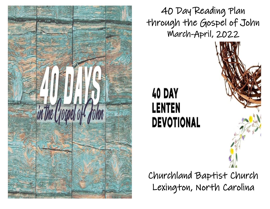

40 Day Reading Plan through the Gospel of John March-April, 2022

## **40 DAY LENTEN DEVOTIONAL**

Churchland Baptist Church Lexington, North Carolina